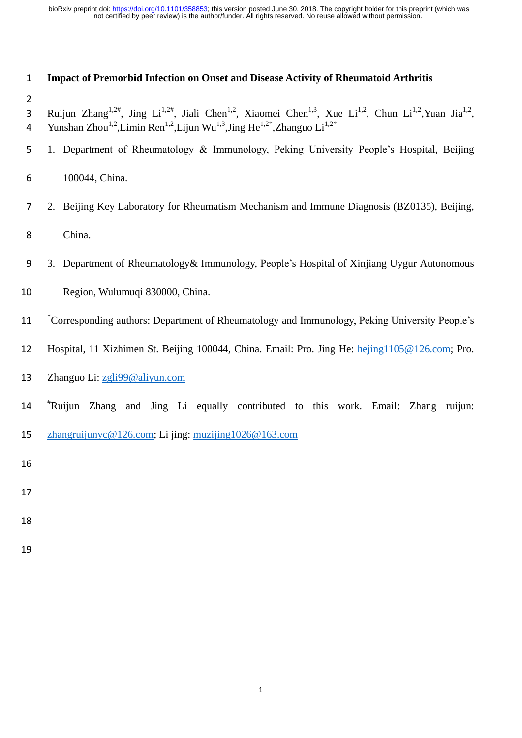not certified by peer review) is the author/funder. All rights reserved. No reuse allowed without permission. bioRxiv preprint doi: [https://doi.org/10.1101/358853;](https://doi.org/10.1101/358853) this version posted June 30, 2018. The copyright holder for this preprint (which was

| $\mathbf{1}$             | <b>Impact of Premorbid Infection on Onset and Disease Activity of Rheumatoid Arthritis</b>                                                                                                                                                                                                                                           |
|--------------------------|--------------------------------------------------------------------------------------------------------------------------------------------------------------------------------------------------------------------------------------------------------------------------------------------------------------------------------------|
| $\overline{2}$<br>3<br>4 | Ruijun Zhang <sup>1,2#</sup> , Jing Li <sup>1,2#</sup> , Jiali Chen <sup>1,2</sup> , Xiaomei Chen <sup>1,3</sup> , Xue Li <sup>1,2</sup> , Chun Li <sup>1,2</sup> , Yuan Jia <sup>1,2</sup> ,<br>Yunshan Zhou <sup>1,2</sup> ,Limin Ren <sup>1,2</sup> ,Lijun Wu <sup>1,3</sup> ,Jing He <sup>1,2*</sup> ,Zhanguo Li <sup>1,2*</sup> |
| 5                        | 1. Department of Rheumatology & Immunology, Peking University People's Hospital, Beijing                                                                                                                                                                                                                                             |
| 6                        | 100044, China.                                                                                                                                                                                                                                                                                                                       |
| 7                        | 2. Beijing Key Laboratory for Rheumatism Mechanism and Immune Diagnosis (BZ0135), Beijing,                                                                                                                                                                                                                                           |
| 8                        | China.                                                                                                                                                                                                                                                                                                                               |
| 9                        | 3. Department of Rheumatology & Immunology, People's Hospital of Xinjiang Uygur Autonomous                                                                                                                                                                                                                                           |
| 10                       | Region, Wulumuqi 830000, China.                                                                                                                                                                                                                                                                                                      |
| 11                       | *Corresponding authors: Department of Rheumatology and Immunology, Peking University People's                                                                                                                                                                                                                                        |
| 12                       | Hospital, 11 Xizhimen St. Beijing 100044, China. Email: Pro. Jing He: hejing1105@126.com; Pro.                                                                                                                                                                                                                                       |
| 13                       | Zhanguo Li: zgli99@aliyun.com                                                                                                                                                                                                                                                                                                        |
| 14                       | "Ruijun Zhang and Jing Li equally contributed to this work. Email: Zhang ruijun:                                                                                                                                                                                                                                                     |
| 15                       | zhangruijunyc@126.com; Li jing: muzijing1026@163.com                                                                                                                                                                                                                                                                                 |
| 16                       |                                                                                                                                                                                                                                                                                                                                      |
| 17                       |                                                                                                                                                                                                                                                                                                                                      |
| 18                       |                                                                                                                                                                                                                                                                                                                                      |
| 19                       |                                                                                                                                                                                                                                                                                                                                      |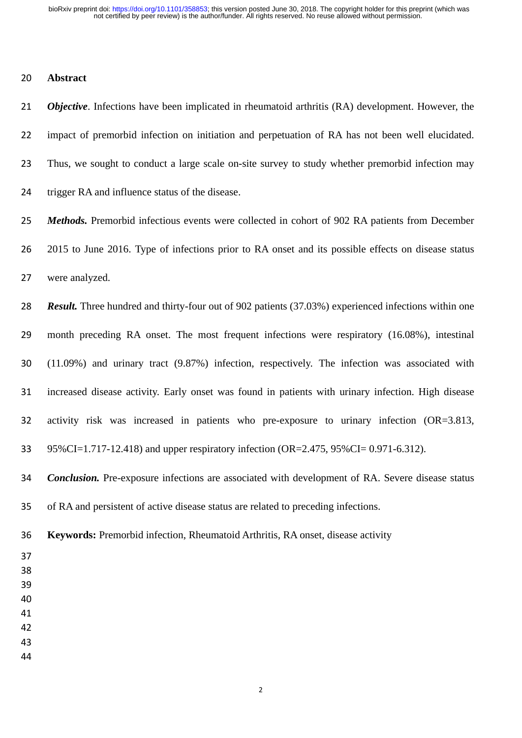# **Abstract**

| 21       | <b>Objective</b> . Infections have been implicated in rheumatoid arthritis (RA) development. However, the   |
|----------|-------------------------------------------------------------------------------------------------------------|
| 22       | impact of premorbid infection on initiation and perpetuation of RA has not been well elucidated.            |
| 23       | Thus, we sought to conduct a large scale on-site survey to study whether premorbid infection may            |
| 24       | trigger RA and influence status of the disease.                                                             |
| 25       | Methods. Premorbid infectious events were collected in cohort of 902 RA patients from December              |
| 26       | 2015 to June 2016. Type of infections prior to RA onset and its possible effects on disease status          |
| 27       | were analyzed.                                                                                              |
| 28       | <b>Result.</b> Three hundred and thirty-four out of 902 patients (37.03%) experienced infections within one |
| 29       | month preceding RA onset. The most frequent infections were respiratory (16.08%), intestinal                |
| 30       | (11.09%) and urinary tract (9.87%) infection, respectively. The infection was associated with               |
| 31       | increased disease activity. Early onset was found in patients with urinary infection. High disease          |
| 32       | activity risk was increased in patients who pre-exposure to urinary infection (OR=3.813,                    |
| 33       | 95%CI=1.717-12.418) and upper respiratory infection (OR=2.475, 95%CI=0.971-6.312).                          |
| 34       | <b>Conclusion.</b> Pre-exposure infections are associated with development of RA. Severe disease status     |
| 35       | of RA and persistent of active disease status are related to preceding infections.                          |
| 36       | Keywords: Premorbid infection, Rheumatoid Arthritis, RA onset, disease activity                             |
| 37       |                                                                                                             |
| 38       |                                                                                                             |
| 39       |                                                                                                             |
| 40       |                                                                                                             |
| 41<br>42 |                                                                                                             |
| 43       |                                                                                                             |
| 44       |                                                                                                             |
|          |                                                                                                             |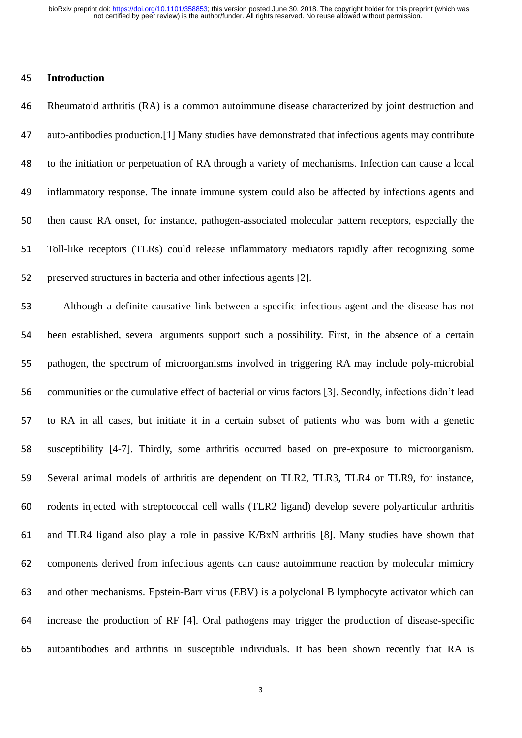### **Introduction**

 Rheumatoid arthritis (RA) is a common autoimmune disease characterized by joint destruction and auto-antibodies production.[1] Many studies have demonstrated that infectious agents may contribute to the initiation or perpetuation of RA through a variety of mechanisms. Infection can cause a local inflammatory response. The innate immune system could also be affected by infections agents and then cause RA onset, for instance, pathogen-associated molecular pattern receptors, especially the Toll-like receptors (TLRs) could release inflammatory mediators rapidly after recognizing some preserved structures in bacteria and other infectious agents [2].

 Although a definite causative link between a specific infectious agent and the disease has not been established, several arguments support such a possibility. First, in the absence of a certain pathogen, the spectrum of microorganisms involved in triggering RA may include poly-microbial communities or the cumulative effect of bacterial or virus factors [3]. Secondly, infections didn't lead to RA in all cases, but initiate it in a certain subset of patients who was born with a genetic susceptibility [4-7]. Thirdly, some arthritis occurred based on pre-exposure to microorganism. Several animal models of arthritis are dependent on TLR2, TLR3, TLR4 or TLR9, for instance, rodents injected with streptococcal cell walls (TLR2 ligand) develop severe polyarticular arthritis and TLR4 ligand also play a role in passive K/BxN arthritis [8]. Many studies have shown that components derived from infectious agents can cause autoimmune reaction by molecular mimicry and other mechanisms. Epstein-Barr virus (EBV) is a polyclonal B lymphocyte activator which can increase the production of RF [4]. Oral pathogens may trigger the production of disease-specific autoantibodies and arthritis in susceptible individuals. It has been shown recently that RA is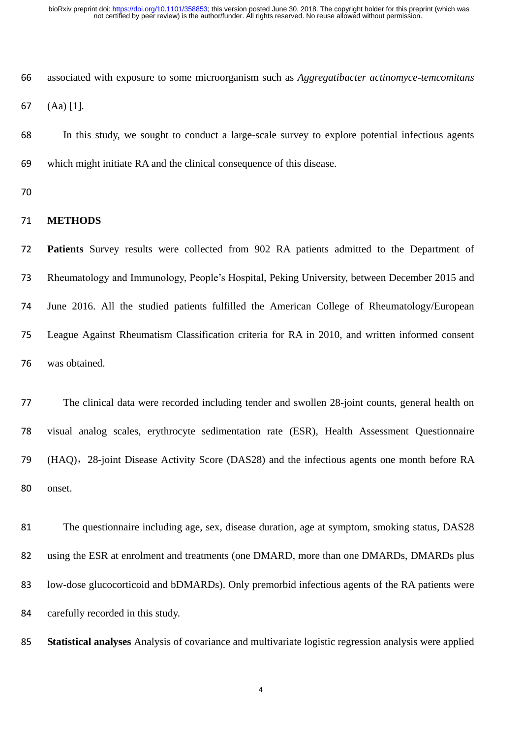associated with exposure to some microorganism such as *Aggregatibacter actinomyce-temcomitans* (Aa) [1].

 In this study, we sought to conduct a large-scale survey to explore potential infectious agents which might initiate RA and the clinical consequence of this disease.

#### **METHODS**

 **Patients** Survey results were collected from 902 RA patients admitted to the Department of Rheumatology and Immunology, People's Hospital, Peking University, between December 2015 and June 2016. All the studied patients fulfilled the American College of Rheumatology/European League Against Rheumatism Classification criteria for RA in 2010, and written informed consent was obtained.

 The clinical data were recorded including tender and swollen 28-joint counts, general health on visual analog scales, erythrocyte sedimentation rate (ESR), Health Assessment Questionnaire (HAQ),28-joint Disease Activity Score (DAS28) and the infectious agents one month before RA onset.

 The questionnaire including age, sex, disease duration, age at symptom, smoking status, DAS28 82 using the ESR at enrolment and treatments (one DMARD, more than one DMARDs, DMARDs plus low-dose glucocorticoid and bDMARDs). Only premorbid infectious agents of the RA patients were carefully recorded in this study.

**Statistical analyses** Analysis of covariance and multivariate logistic regression analysis were applied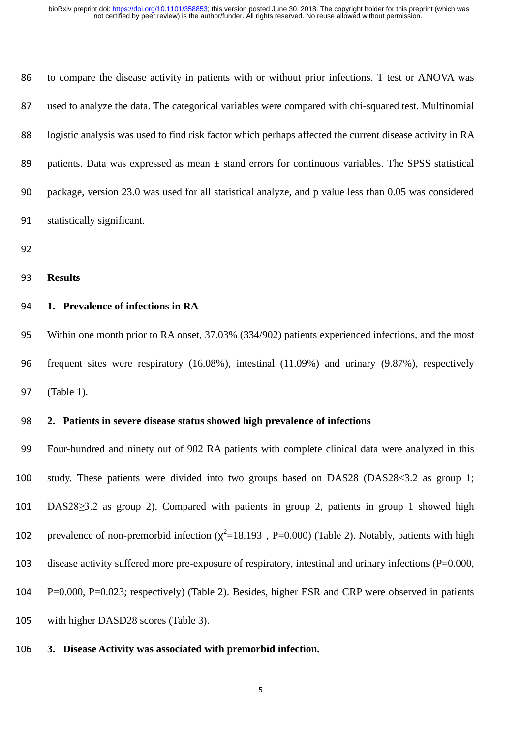| 86  | to compare the disease activity in patients with or without prior infections. T test or ANOVA was        |
|-----|----------------------------------------------------------------------------------------------------------|
| 87  | used to analyze the data. The categorical variables were compared with chi-squared test. Multinomial     |
| 88  | logistic analysis was used to find risk factor which perhaps affected the current disease activity in RA |
| 89  | patients. Data was expressed as mean $\pm$ stand errors for continuous variables. The SPSS statistical   |
| 90  | package, version 23.0 was used for all statistical analyze, and p value less than 0.05 was considered    |
| 91  | statistically significant.                                                                               |
| 92  |                                                                                                          |
| 93  | <b>Results</b>                                                                                           |
| 94  | 1. Prevalence of infections in RA                                                                        |
| 95  | Within one month prior to RA onset, 37.03% (334/902) patients experienced infections, and the most       |
| 96  | frequent sites were respiratory (16.08%), intestinal (11.09%) and urinary (9.87%), respectively          |
| 97  | (Table 1).                                                                                               |
| 98  | 2. Patients in severe disease status showed high prevalence of infections                                |
| 99  | Four-hundred and ninety out of 902 RA patients with complete clinical data were analyzed in this         |
| 100 | study. These patients were divided into two groups based on DAS28 (DAS28<3.2 as group 1;                 |
| 101 | DAS28≥3.2 as group 2). Compared with patients in group 2, patients in group 1 showed high                |
| 102 | prevalence of non-premorbid infection $(\chi^2=18.193$ , P=0.000) (Table 2). Notably, patients with high |
| 103 | disease activity suffered more pre-exposure of respiratory, intestinal and urinary infections (P=0.000,  |
| 104 | P=0.000, P=0.023; respectively) (Table 2). Besides, higher ESR and CRP were observed in patients         |
| 105 | with higher DASD28 scores (Table 3).                                                                     |
| 106 | 3. Disease Activity was associated with premorbid infection.                                             |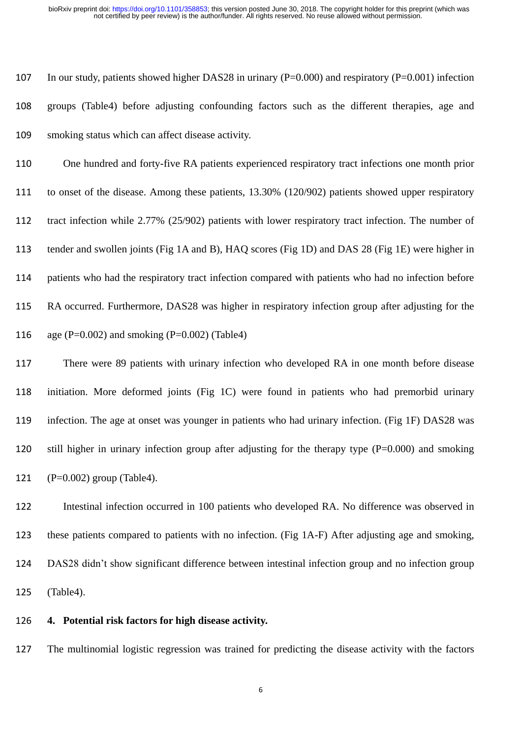In our study, patients showed higher DAS28 in urinary (P=0.000) and respiratory (P=0.001) infection groups (Table4) before adjusting confounding factors such as the different therapies, age and smoking status which can affect disease activity.

One hundred and forty-five RA patients experienced respiratory tract infections one month prior

to onset of the disease. Among these patients, 13.30% (120/902) patients showed upper respiratory

tract infection while 2.77% (25/902) patients with lower respiratory tract infection. The number of

tender and swollen joints (Fig 1A and B), HAQ scores (Fig 1D) and DAS 28 (Fig 1E) were higher in

patients who had the respiratory tract infection compared with patients who had no infection before

RA occurred. Furthermore, DAS28 was higher in respiratory infection group after adjusting for the

116 age (P= $0.002$ ) and smoking (P= $0.002$ ) (Table4)

 There were 89 patients with urinary infection who developed RA in one month before disease initiation. More deformed joints (Fig 1C) were found in patients who had premorbid urinary infection. The age at onset was younger in patients who had urinary infection. (Fig 1F) DAS28 was still higher in urinary infection group after adjusting for the therapy type (P=0.000) and smoking (P=0.002) group (Table4).

 Intestinal infection occurred in 100 patients who developed RA. No difference was observed in these patients compared to patients with no infection. (Fig 1A-F) After adjusting age and smoking, DAS28 didn't show significant difference between intestinal infection group and no infection group (Table4).

# **4. Potential risk factors for high disease activity.**

The multinomial logistic regression was trained for predicting the disease activity with the factors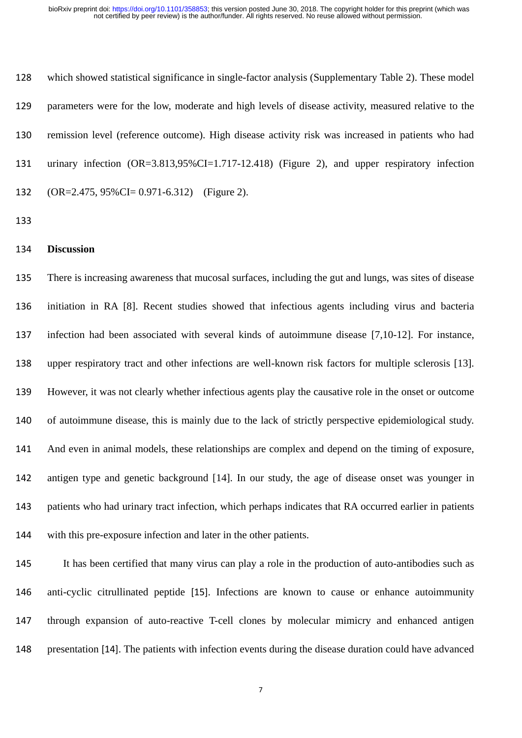| 128 | which showed statistical significance in single-factor analysis (Supplementary Table 2). These model |
|-----|------------------------------------------------------------------------------------------------------|
| 129 | parameters were for the low, moderate and high levels of disease activity, measured relative to the  |
| 130 | remission level (reference outcome). High disease activity risk was increased in patients who had    |
| 131 | urinary infection $(OR=3.813.95\%CI=1.717-12.418)$ (Figure 2), and upper respiratory infection       |
| 132 | $(OR=2.475, 95\%CI = 0.971-6.312)$<br>$(Figure 2)$ .                                                 |

#### **Discussion**

 There is increasing awareness that mucosal surfaces, including the gut and lungs, was sites of disease initiation in RA [8]. Recent studies showed that infectious agents including virus and bacteria infection had been associated with several kinds of autoimmune disease [7,10-12]. For instance, upper respiratory tract and other infections are well-known risk factors for multiple sclerosis [13]. However, it was not clearly whether infectious agents play the causative role in the onset or outcome of autoimmune disease, this is mainly due to the lack of strictly perspective epidemiological study. And even in animal models, these relationships are complex and depend on the timing of exposure, antigen type and genetic background [14]. In our study, the age of disease onset was younger in patients who had urinary tract infection, which perhaps indicates that RA occurred earlier in patients with this pre-exposure infection and later in the other patients.

 It has been certified that many virus can play a role in the production of auto-antibodies such as anti-cyclic citrullinated peptide [15]. Infections are known to cause or enhance autoimmunity through expansion of auto-reactive T-cell clones by molecular mimicry and enhanced antigen presentation [14]. The patients with infection events during the disease duration could have advanced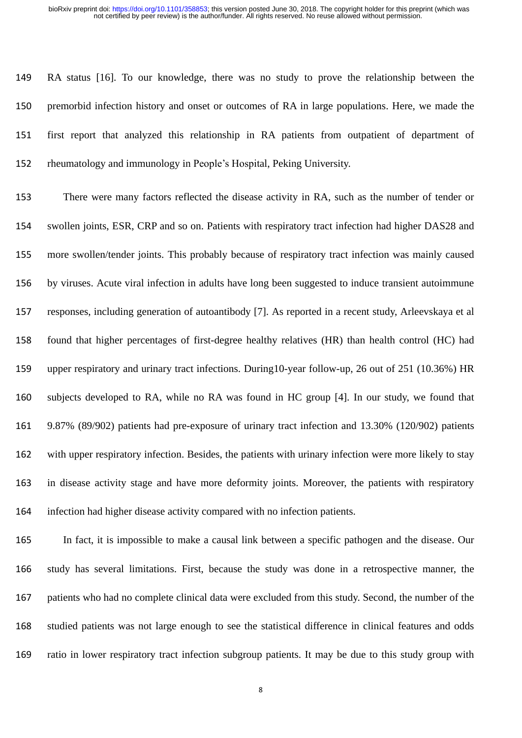#### not certified by peer review) is the author/funder. All rights reserved. No reuse allowed without permission. bioRxiv preprint doi: [https://doi.org/10.1101/358853;](https://doi.org/10.1101/358853) this version posted June 30, 2018. The copyright holder for this preprint (which was

 RA status [16]. To our knowledge, there was no study to prove the relationship between the premorbid infection history and onset or outcomes of RA in large populations. Here, we made the first report that analyzed this relationship in RA patients from outpatient of department of rheumatology and immunology in People's Hospital, Peking University.

 There were many factors reflected the disease activity in RA, such as the number of tender or swollen joints, ESR, CRP and so on. Patients with respiratory tract infection had higher DAS28 and more swollen/tender joints. This probably because of respiratory tract infection was mainly caused by viruses. Acute viral infection in adults have long been suggested to induce transient autoimmune responses, including generation of autoantibody [7]. As reported in a recent study, Arleevskaya et al found that higher percentages of first-degree healthy relatives (HR) than health control (HC) had upper respiratory and urinary tract infections. During10-year follow-up, 26 out of 251 (10.36%) HR subjects developed to RA, while no RA was found in HC group [4]. In our study, we found that 9.87% (89/902) patients had pre-exposure of urinary tract infection and 13.30% (120/902) patients with upper respiratory infection. Besides, the patients with urinary infection were more likely to stay in disease activity stage and have more deformity joints. Moreover, the patients with respiratory infection had higher disease activity compared with no infection patients.

 In fact, it is impossible to make a causal link between a specific pathogen and the disease. Our study has several limitations. First, because the study was done in a retrospective manner, the patients who had no complete clinical data were excluded from this study. Second, the number of the studied patients was not large enough to see the statistical difference in clinical features and odds ratio in lower respiratory tract infection subgroup patients. It may be due to this study group with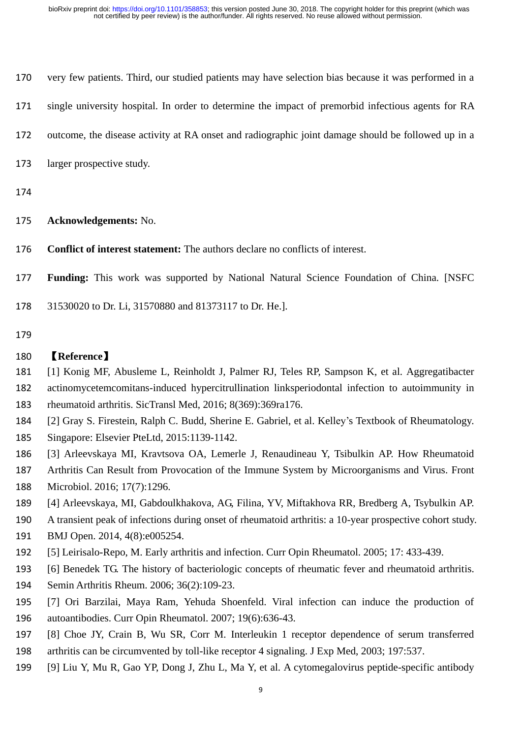| 175 | <b>Acknowledgements: No.</b>                                                                         |
|-----|------------------------------------------------------------------------------------------------------|
| 174 |                                                                                                      |
| 173 | larger prospective study.                                                                            |
| 172 | outcome, the disease activity at RA onset and radiographic joint damage should be followed up in a   |
| 171 | single university hospital. In order to determine the impact of premorbid infectious agents for RA   |
| 170 | very few patients. Third, our studied patients may have selection bias because it was performed in a |

- **Conflict of interest statement:** The authors declare no conflicts of interest.
- **Funding:** This work was supported by National Natural Science Foundation of China. [NSFC
- 31530020 to Dr. Li, 31570880 and 81373117 to Dr. He.].
- 

# 【**Reference**】

[1] Konig MF, Abusleme L, Reinholdt J, Palmer RJ, Teles RP, Sampson K, et al. Aggregatibacter

- actinomycetemcomitans-induced hypercitrullination linksperiodontal infection to autoimmunity in rheumatoid arthritis. SicTransl Med, 2016; 8(369):369ra176.
- [2] Gray S. Firestein, Ralph C. Budd, Sherine E. Gabriel, et al. Kelley's Textbook of Rheumatology.
- Singapore: Elsevier PteLtd, 2015:1139-1142.
- [3] Arleevskaya MI, Kravtsova OA, Lemerle J, Renaudineau Y, Tsibulkin AP. How Rheumatoid
- Arthritis Can Result from Provocation of the Immune System by Microorganisms and Virus. Front Microbiol. 2016; 17(7):1296.
- [4] Arleevskaya, MI, Gabdoulkhakova, AG, Filina, YV, Miftakhova RR, Bredberg A, Tsybulkin AP.
- A transient peak of infections during onset of rheumatoid arthritis: a 10-year prospective cohort study.
- BMJ Open. 2014, 4(8):e005254.
- [5] Leirisalo-Repo, M. Early arthritis and infection. Curr Opin Rheumatol. 2005; 17: 433-439.
- [6] Benedek TG. The history of bacteriologic concepts of rheumatic fever and rheumatoid arthritis.
- Semin Arthritis Rheum. 2006; 36(2):109-23.
- [7] Ori Barzilai, Maya Ram, Yehuda Shoenfeld. Viral infection can induce the production of autoantibodies. Curr Opin Rheumatol. 2007; 19(6):636-43.
- [8] Choe JY, Crain B, Wu SR, Corr M. Interleukin 1 receptor dependence of serum transferred
- arthritis can be circumvented by toll-like receptor 4 signaling. J Exp Med, 2003; 197:537.
- [9] Liu Y, Mu R, Gao YP, Dong J, Zhu L, Ma Y, et al. A cytomegalovirus peptide-specific antibody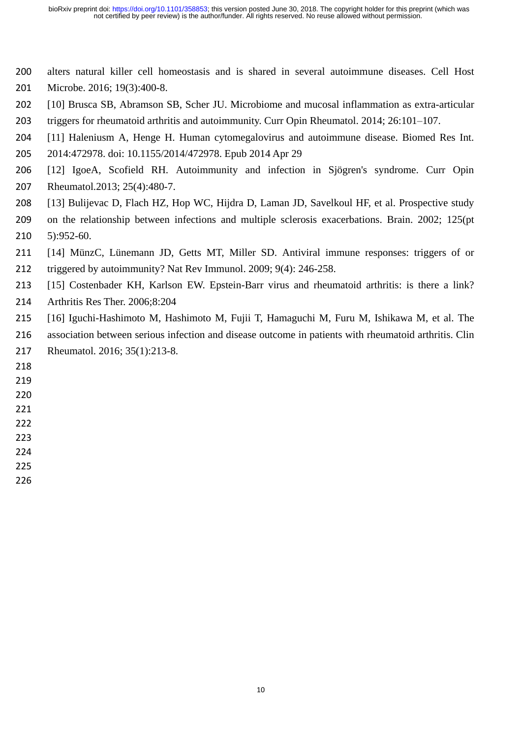- alters natural killer cell homeostasis and is shared in several autoimmune diseases. Cell Host Microbe. 2016; 19(3):400-8.
- [10] Brusca SB, Abramson SB, Scher JU. Microbiome and mucosal inflammation as extra-articular
- triggers for rheumatoid arthritis and autoimmunity. Curr Opin Rheumatol. 2014; 26:101–107.
- [11] Haleniusm A, Henge H. Human cytomegalovirus and autoimmune disease. Biomed Res Int.
- 2014:472978. doi: 10.1155/2014/472978. Epub 2014 Apr 29
- [12] IgoeA, Scofield RH. Autoimmunity and infection in Sjögren's syndrome. Curr Opin Rheumatol.2013; 25(4):480-7.
- [13] Bulijevac D, Flach HZ, Hop WC, Hijdra D, Laman JD, Savelkoul HF, et al. Prospective study
- 209 on the relationship between infections and multiple sclerosis exacerbations. Brain. 2002: 125(pt 5):952-60.
- [14] MünzC, Lünemann JD, Getts MT, Miller SD. Antiviral immune responses: triggers of or
- triggered by autoimmunity? Nat Rev Immunol. 2009; 9(4): 246-258.
- [15] Costenbader KH, Karlson EW. Epstein-Barr virus and rheumatoid arthritis: is there a link?
- Arthritis Res Ther. 2006;8:204
- [16] Iguchi-Hashimoto M, Hashimoto M, Fujii T, Hamaguchi M, Furu M, Ishikawa M, et al. The
- association between serious infection and disease outcome in patients with rheumatoid arthritis. Clin Rheumatol. 2016; 35(1):213-8.
- 
- 
- 
- 
- 
- 
- 
- 
-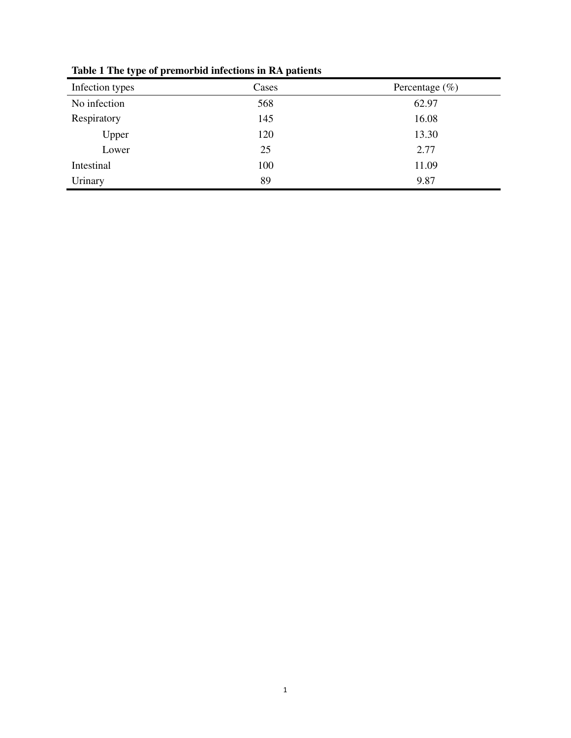| Infection types | Cases | Percentage $(\% )$ |  |
|-----------------|-------|--------------------|--|
| No infection    | 568   | 62.97              |  |
| Respiratory     | 145   | 16.08              |  |
| Upper           | 120   | 13.30              |  |
| Lower           | 25    | 2.77               |  |
| Intestinal      | 100   | 11.09              |  |
| Urinary         | 89    | 9.87               |  |

**Table 1 The type of premorbid infections in RA patients**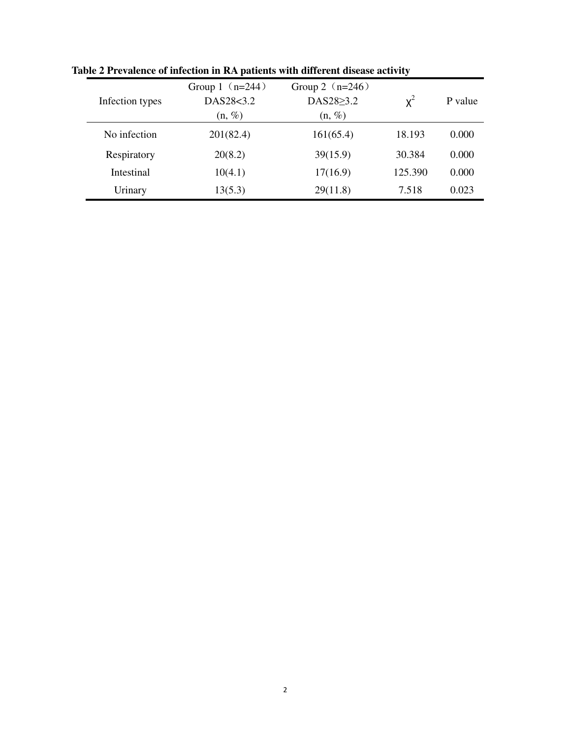| on 21 revannel of infection in iter patients with unferent uisease activity |                                             |                                                    |         |         |  |
|-----------------------------------------------------------------------------|---------------------------------------------|----------------------------------------------------|---------|---------|--|
| Infection types                                                             | Group $1$ (n=244)<br>DAS28<3.2<br>$(n, \%)$ | Group 2 $(n=246)$<br>DAS28 $\geq$ 3.2<br>$(n, \%)$ | $x^2$   | P value |  |
| No infection                                                                | 201(82.4)                                   | 161(65.4)                                          | 18.193  | 0.000   |  |
| Respiratory                                                                 | 20(8.2)                                     | 39(15.9)                                           | 30.384  | 0.000   |  |
| Intestinal                                                                  | 10(4.1)                                     | 17(16.9)                                           | 125.390 | 0.000   |  |
| Urinary                                                                     | 13(5.3)                                     | 29(11.8)                                           | 7.518   | 0.023   |  |

**Table 2 Prevalence of infection in RA patients with different disease activity**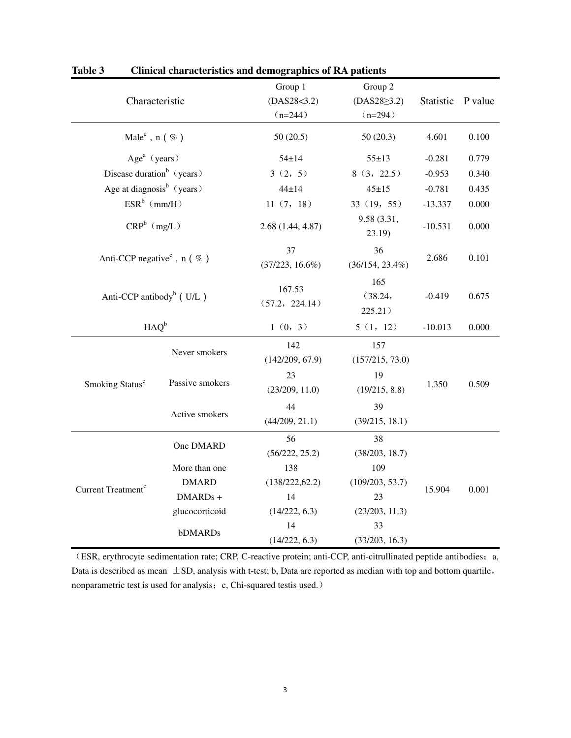|                                                                                     |                 | Group 1                  | Group 2                   |                   |       |
|-------------------------------------------------------------------------------------|-----------------|--------------------------|---------------------------|-------------------|-------|
| Characteristic                                                                      |                 | (DAS28<3.2)              | $(DAS28 \ge 3.2)$         | Statistic P value |       |
|                                                                                     |                 | $(n=244)$                | $(n=294)$                 |                   |       |
| Male <sup>c</sup> , $n$ (%)                                                         |                 | 50(20.5)                 | 50(20.3)                  | 4.601             | 0.100 |
| Age <sup>a</sup> (years)                                                            |                 | $54 + 14$                | $55 + 13$                 | $-0.281$          | 0.779 |
| Disease duration <sup>b</sup> (years)                                               |                 | 3(2, 5)                  | 8(3, 22.5)                | $-0.953$          | 0.340 |
| Age at diagnosis <sup>b</sup> (years)                                               |                 | $44 + 14$                | $45 + 15$                 | $-0.781$          | 0.435 |
| $ESR^b$ (mm/H)                                                                      |                 | 11(7, 18)                | 33(19, 55)                | $-13.337$         | 0.000 |
| $CRP^b$ (mg/L)                                                                      |                 | 2.68(1.44, 4.87)         | 9.58 (3.31,<br>23.19)     | $-10.531$         | 0.000 |
| Anti-CCP negative <sup>c</sup> , n ( $\%$ )<br>Anti-CCP antibody <sup>b</sup> (U/L) |                 | 37<br>$(37/223, 16.6\%)$ | 36<br>$(36/154, 23.4\%)$  | 2.686             | 0.101 |
|                                                                                     |                 | 167.53<br>(57.2, 224.14) | 165<br>(38.24,<br>225.21) | $-0.419$          | 0.675 |
| $HAQ^b$                                                                             |                 | 1(0, 3)                  | 5(1, 12)                  | $-10.013$         | 0.000 |
|                                                                                     | Never smokers   | 142                      | 157                       |                   |       |
|                                                                                     |                 | (142/209, 67.9)          | (157/215, 73.0)           | 1.350             | 0.509 |
|                                                                                     |                 | 23                       | 19                        |                   |       |
| Smoking Status <sup>c</sup>                                                         | Passive smokers | (23/209, 11.0)           | (19/215, 8.8)             |                   |       |
|                                                                                     | Active smokers  | 44                       | 39                        |                   |       |
|                                                                                     |                 | (44/209, 21.1)           | (39/215, 18.1)            |                   |       |
|                                                                                     | One DMARD       | 56                       | 38                        |                   |       |
|                                                                                     |                 | (56/222, 25.2)           | (38/203, 18.7)            |                   |       |
|                                                                                     | More than one   | 138                      | 109                       | 15.904            | 0.001 |
| Current Treatment <sup>c</sup>                                                      | <b>DMARD</b>    | (138/222, 62.2)          | (109/203, 53.7)           |                   |       |
|                                                                                     | DMARDs +        | 14                       | 23                        |                   |       |
|                                                                                     | glucocorticoid  | (14/222, 6.3)            | (23/203, 11.3)            |                   |       |
|                                                                                     | <b>bDMARDs</b>  | 14                       | 33                        |                   |       |
|                                                                                     |                 | (14/222, 6.3)            | (33/203, 16.3)            |                   |       |

**Table 3 Clinical characteristics and demographics of RA patients** 

(ESR, erythrocyte sedimentation rate; CRP, C-reactive protein; anti-CCP, anti-citrullinated peptide antibodies; a, Data is described as mean  $\pm$ SD, analysis with t-test; b, Data are reported as median with top and bottom quartile, nonparametric test is used for analysis; c, Chi-squared testis used. >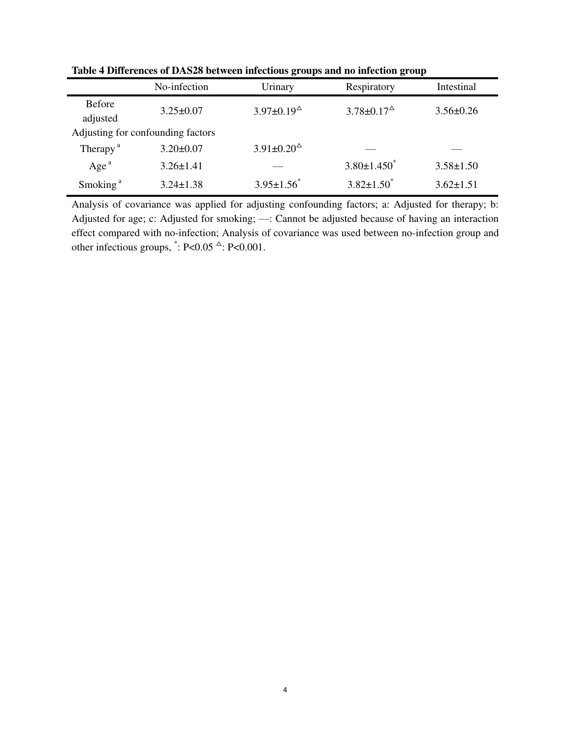|                                   | No-infection    | Urinary                                           | Respiratory              | Intestinal      |
|-----------------------------------|-----------------|---------------------------------------------------|--------------------------|-----------------|
| <b>Before</b><br>adjusted         | $3.25 \pm 0.07$ | $3.97 \pm 0.19$ <sup><math>\triangle</math></sup> | $3.78 \pm 0.17^{\Delta}$ | $3.56 \pm 0.26$ |
| Adjusting for confounding factors |                 |                                                   |                          |                 |
| Therapy <sup>a</sup>              | $3.20 \pm 0.07$ | $3.91 \pm 0.20^{\Delta}$                          |                          |                 |
| Age <sup>a</sup>                  | $3.26 \pm 1.41$ |                                                   | $3.80 \pm 1.450^*$       | $3.58 \pm 1.50$ |
| Smoking $a$                       | $3.24 \pm 1.38$ | $3.95 \pm 1.56$                                   | $3.82 \pm 1.50^*$        | $3.62 + 1.51$   |

**Table 4 Differences of DAS28 between infectious groups and no infection group** 

Analysis of covariance was applied for adjusting confounding factors; a: Adjusted for therapy; b: Adjusted for age; c: Adjusted for smoking; —: Cannot be adjusted because of having an interaction effect compared with no-infection; Analysis of covariance was used between no-infection group and other infectious groups,  $\degree$ : P<0.05  $\degree$ : P<0.001.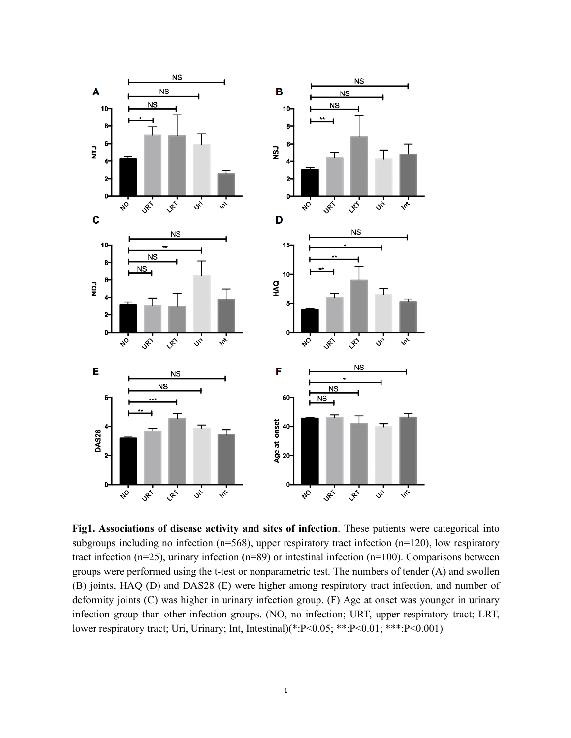

**Fig1. Associations of disease activity and sites of infection**. These patients were categorical into subgroups including no infection (n=568), upper respiratory tract infection (n=120), low respiratory tract infection (n=25), urinary infection (n=89) or intestinal infection (n=100). Comparisons between groups were performed using the t-test or nonparametric test. The numbers of tender (A) and swollen (B) joints, HAQ (D) and DAS28 (E) were higher among respiratory tract infection, and number of deformity joints (C) was higher in urinary infection group. (F) Age at onset was younger in urinary infection group than other infection groups. (NO, no infection; URT, upper respiratory tract; LRT, lower respiratory tract; Uri, Urinary; Int, Intestinal)(\*:P<0.05; \*\*:P<0.01; \*\*\*:P<0.001)